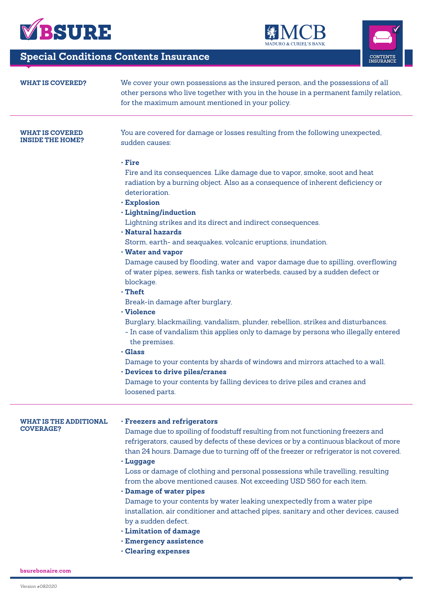

# **Special Conditions Contents Insurance**

| <b>WHAT IS COVERED?</b>                           | We cover your own possessions as the insured person, and the possessions of all<br>other persons who live together with you in the house in a permanent family relation,<br>for the maximum amount mentioned in your policy.                                                     |
|---------------------------------------------------|----------------------------------------------------------------------------------------------------------------------------------------------------------------------------------------------------------------------------------------------------------------------------------|
| <b>WHAT IS COVERED</b><br><b>INSIDE THE HOME?</b> | You are covered for damage or losses resulting from the following unexpected,<br>sudden causes:                                                                                                                                                                                  |
|                                                   | $\cdot$ Fire<br>Fire and its consequences. Like damage due to vapor, smoke, soot and heat<br>radiation by a burning object. Also as a consequence of inherent deficiency or<br>deterioration.<br>· Explosion                                                                     |
|                                                   | · Lightning/induction<br>Lightning strikes and its direct and indirect consequences.<br>· Natural hazards                                                                                                                                                                        |
|                                                   | Storm, earth- and seaquakes, volcanic eruptions, inundation.<br>· Water and vapor                                                                                                                                                                                                |
|                                                   | Damage caused by flooding, water and vapor damage due to spilling, overflowing<br>of water pipes, sewers, fish tanks or waterbeds, caused by a sudden defect or<br>blockage.<br>$\cdot$ Theft                                                                                    |
|                                                   | Break-in damage after burglary,<br>· Violence                                                                                                                                                                                                                                    |
|                                                   | Burglary, blackmailing, vandalism, plunder, rebellion, strikes and disturbances.<br>- In case of vandalism this applies only to damage by persons who illegally entered<br>the premises.                                                                                         |
|                                                   | $\cdot$ Glass<br>Damage to your contents by shards of windows and mirrors attached to a wall.<br>· Devices to drive piles/cranes                                                                                                                                                 |
|                                                   | Damage to your contents by falling devices to drive piles and cranes and<br>loosened parts.                                                                                                                                                                                      |
| <b>WHAT IS THE ADDITIONAL</b>                     | · Freezers and refrigerators                                                                                                                                                                                                                                                     |
| <b>COVERAGE?</b>                                  | Damage due to spoiling of foodstuff resulting from not functioning freezers and<br>refrigerators, caused by defects of these devices or by a continuous blackout of more<br>than 24 hours. Damage due to turning off of the freezer or refrigerator is not covered.<br>· Luggage |
|                                                   | Loss or damage of clothing and personal possessions while travelling, resulting<br>from the above mentioned causes. Not exceeding USD 560 for each item.<br>· Damage of water pipes                                                                                              |
|                                                   | Damage to your contents by water leaking unexpectedly from a water pipe<br>installation, air conditioner and attached pipes, sanitary and other devices, caused<br>by a sudden defect.<br>· Limitation of damage                                                                 |
|                                                   | · Emergency assistence<br><b>Clearing expenses</b>                                                                                                                                                                                                                               |

縁

}

**URIEL'S BANK** 

**CONTENTS**<br>INSURANCE

**bsurebonaire.com**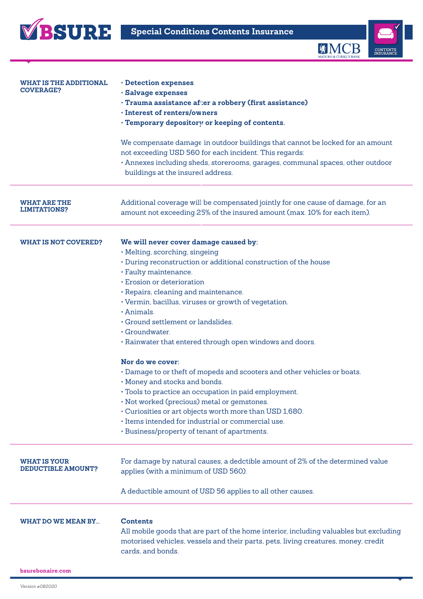



| <b>WHAT IS THE ADDITIONAL</b><br><b>COVERAGE?</b> | · Detection expenses<br>· Salvage expenses<br>· Trauma assistance after a robbery (first assistance)<br>· Interest of renters/owners<br>· Temporary depository or keeping of contents.                                                                                                                                                                                                                                                                                                                                                                                                                                                                                                                                                                                                                                                        |
|---------------------------------------------------|-----------------------------------------------------------------------------------------------------------------------------------------------------------------------------------------------------------------------------------------------------------------------------------------------------------------------------------------------------------------------------------------------------------------------------------------------------------------------------------------------------------------------------------------------------------------------------------------------------------------------------------------------------------------------------------------------------------------------------------------------------------------------------------------------------------------------------------------------|
|                                                   | We compensate damage in outdoor buildings that cannot be locked for an amount<br>not exceeding USD 560 for each incident. This regards:<br>· Annexes including sheds, storerooms, garages, communal spaces, other outdoor<br>buildings at the insured address.                                                                                                                                                                                                                                                                                                                                                                                                                                                                                                                                                                                |
| <b>WHAT ARE THE</b><br><b>LIMITATIONS?</b>        | Additional coverage will be compensated jointly for one cause of damage, for an<br>amount not exceeding 25% of the insured amount (max. 10% for each item).                                                                                                                                                                                                                                                                                                                                                                                                                                                                                                                                                                                                                                                                                   |
| <b>WHAT IS NOT COVERED?</b>                       | We will never cover damage caused by:<br>· Melting, scorching, singeing<br>· During reconstruction or additional construction of the house<br>· Faulty maintenance.<br>· Erosion or deterioration<br>· Repairs, cleaning and maintenance.<br>· Vermin, bacillus, viruses or growth of vegetation.<br>· Animals.<br>· Ground settlement or landslides.<br>· Groundwater.<br>. Rainwater that entered through open windows and doors.<br>Nor do we cover:<br>· Damage to or theft of mopeds and scooters and other vehicles or boats.<br>· Money and stocks and bonds.<br>· Tools to practice an occupation in paid employment.<br>· Not worked (precious) metal or gemstones.<br>· Curiosities or art objects worth more than USD 1,680.<br>· Items intended for industrial or commercial use.<br>· Business/property of tenant of apartments. |
| <b>WHAT IS YOUR</b><br><b>DEDUCTIBLE AMOUNT?</b>  | For damage by natural causes, a dedctible amount of 2% of the determined value<br>applies (with a minimum of USD 560).<br>A deductible amount of USD 56 applies to all other causes.                                                                                                                                                                                                                                                                                                                                                                                                                                                                                                                                                                                                                                                          |
| <b>WHAT DO WE MEAN BY</b>                         | <b>Contents</b><br>All mobile goods that are part of the home interior, including valuables but excluding<br>motorised vehicles, vessels and their parts, pets, living creatures, money, credit<br>cards, and bonds.                                                                                                                                                                                                                                                                                                                                                                                                                                                                                                                                                                                                                          |
| bsurebonaire.com                                  |                                                                                                                                                                                                                                                                                                                                                                                                                                                                                                                                                                                                                                                                                                                                                                                                                                               |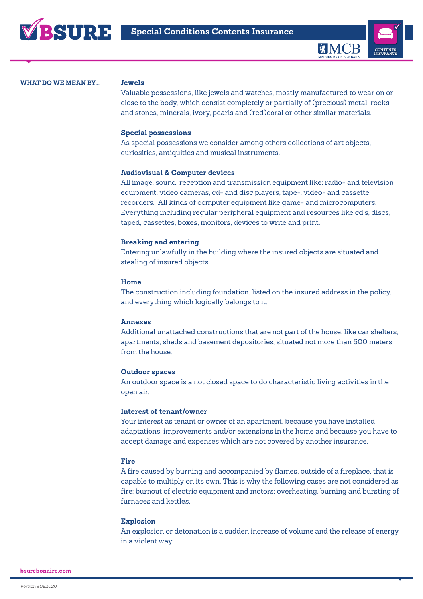



#### **Jewels**

Valuable possessions, like jewels and watches, mostly manufactured to wear on or close to the body, which consist completely or partially of (precious) metal, rocks and stones, minerals, ivory, pearls and (red)coral or other similar materials.

#### **Special possessions**

As special possessions we consider among others collections of art objects, curiosities, antiquities and musical instruments.

#### **Audiovisual & Computer devices**

All image, sound, reception and transmission equipment like: radio- and television equipment, video cameras, cd- and disc players, tape-, video- and cassette recorders. All kinds of computer equipment like game- and microcomputers. Everything including regular peripheral equipment and resources like cd's, discs, taped, cassettes, boxes, monitors, devices to write and print.

#### **Breaking and entering**

Entering unlawfully in the building where the insured objects are situated and stealing of insured objects.

#### **Home**

The construction including foundation, listed on the insured address in the policy, and everything which logically belongs to it.

#### **Annexes**

Additional unattached constructions that are not part of the house, like car shelters, apartments, sheds and basement depositories, situated not more than 500 meters from the house.

#### **Outdoor spaces**

An outdoor space is a not closed space to do characteristic living activities in the open air.

#### **Interest of tenant/owner**

Your interest as tenant or owner of an apartment, because you have installed adaptations, improvements and/or extensions in the home and because you have to accept damage and expenses which are not covered by another insurance.

#### **Fire**

A fire caused by burning and accompanied by flames, outside of a fireplace, that is capable to multiply on its own. This is why the following cases are not considered as fire: burnout of electric equipment and motors; overheating, burning and bursting of furnaces and kettles.

#### **Explosion**

An explosion or detonation is a sudden increase of volume and the release of energy in a violent way.

**bsurebonaire.com**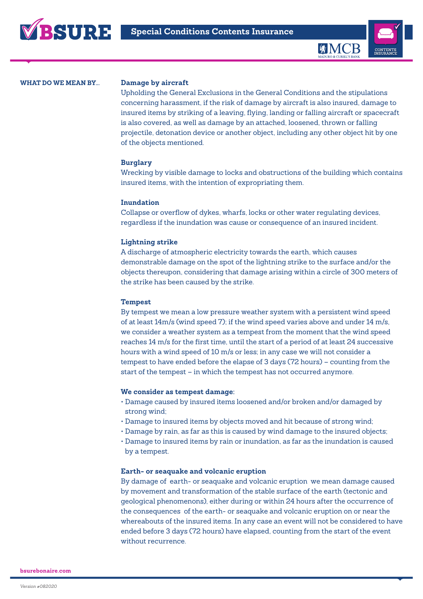

#### **Damage by aircraft**

Upholding the General Exclusions in the General Conditions and the stipulations concerning harassment, if the risk of damage by aircraft is also insured, damage to insured items by striking of a leaving, flying, landing or falling aircraft or spacecraft is also covered, as well as damage by an attached, loosened, thrown or falling projectile, detonation device or another object, including any other object hit by one of the objects mentioned.

#### **Burglary**

Wrecking by visible damage to locks and obstructions of the building which contains insured items, with the intention of expropriating them.

#### **Inundation**

Collapse or overflow of dykes, wharfs, locks or other water regulating devices, regardless if the inundation was cause or consequence of an insured incident.

#### **Lightning strike**

A discharge of atmospheric electricity towards the earth, which causes demonstrable damage on the spot of the lightning strike to the surface and/or the objects thereupon, considering that damage arising within a circle of 300 meters of the strike has been caused by the strike.

#### **Tempest**

By tempest we mean a low pressure weather system with a persistent wind speed of at least 14m/s (wind speed 7); if the wind speed varies above and under 14 m/s, we consider a weather system as a tempest from the moment that the wind speed reaches 14 m/s for the first time, until the start of a period of at least 24 successive hours with a wind speed of 10 m/s or less; in any case we will not consider a tempest to have ended before the elapse of 3 days (72 hours) – counting from the start of the tempest – in which the tempest has not occurred anymore.

#### **We consider as tempest damage:**

- Damage caused by insured items loosened and/or broken and/or damaged by strong wind;
- Damage to insured items by objects moved and hit because of strong wind;
- Damage by rain, as far as this is caused by wind damage to the insured objects;
- Damage to insured items by rain or inundation, as far as the inundation is caused by a tempest.

#### **Earth- or seaquake and volcanic eruption**

By damage of earth- or seaquake and volcanic eruption we mean damage caused by movement and transformation of the stable surface of the earth (tectonic and geological phenomenons), either during or within 24 hours after the occurrence of the consequences of the earth- or seaquake and volcanic eruption on or near the whereabouts of the insured items. In any case an event will not be considered to have ended before 3 days (72 hours) have elapsed, counting from the start of the event without recurrence.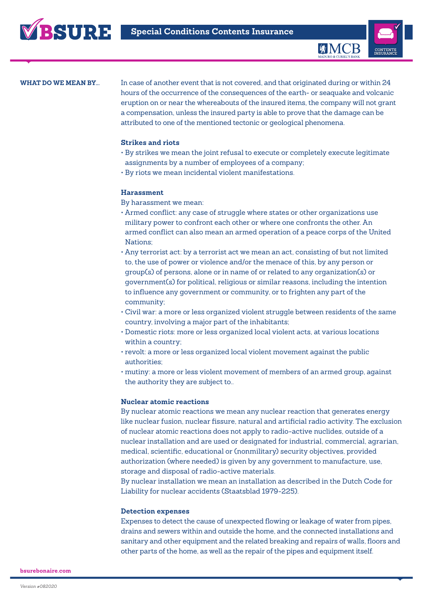

In case of another event that is not covered, and that originated during or within 24 hours of the occurrence of the consequences of the earth- or seaquake and volcanic eruption on or near the whereabouts of the insured items, the company will not grant a compensation, unless the insured party is able to prove that the damage can be attributed to one of the mentioned tectonic or geological phenomena.

#### **Strikes and riots**

- By strikes we mean the joint refusal to execute or completely execute legitimate assignments by a number of employees of a company;
- By riots we mean incidental violent manifestations.

#### **Harassment**

By harassment we mean:

- Armed conflict: any case of struggle where states or other organizations use military power to confront each other or where one confronts the other. An armed conflict can also mean an armed operation of a peace corps of the United Nations;
- Any terrorist act: by a terrorist act we mean an act, consisting of but not limited to, the use of power or violence and/or the menace of this, by any person or group(s) of persons, alone or in name of or related to any organization(s) or government(s) for political, religious or similar reasons, including the intention to influence any government or community, or to frighten any part of the community;
- Civil war: a more or less organized violent struggle between residents of the same country, involving a major part of the inhabitants;
- Domestic riots: more or less organized local violent acts, at various locations within a country;
- revolt: a more or less organized local violent movement against the public authorities;
- mutiny: a more or less violent movement of members of an armed group, against the authority they are subject to..

#### **Nuclear atomic reactions**

By nuclear atomic reactions we mean any nuclear reaction that generates energy like nuclear fusion, nuclear fissure, natural and artificial radio activity. The exclusion of nuclear atomic reactions does not apply to radio-active nuclides, outside of a nuclear installation and are used or designated for industrial, commercial, agrarian, medical, scientific, educational or (nonmilitary) security objectives, provided authorization (where needed) is given by any government to manufacture, use, storage and disposal of radio-active materials.

By nuclear installation we mean an installation as described in the Dutch Code for Liability for nuclear accidents (Staatsblad 1979-225).

#### **Detection expenses**

Expenses to detect the cause of unexpected flowing or leakage of water from pipes, drains and sewers within and outside the home, and the connected installations and sanitary and other equipment and the related breaking and repairs of walls, floors and other parts of the home, as well as the repair of the pipes and equipment itself.

**bsurebonaire.com**